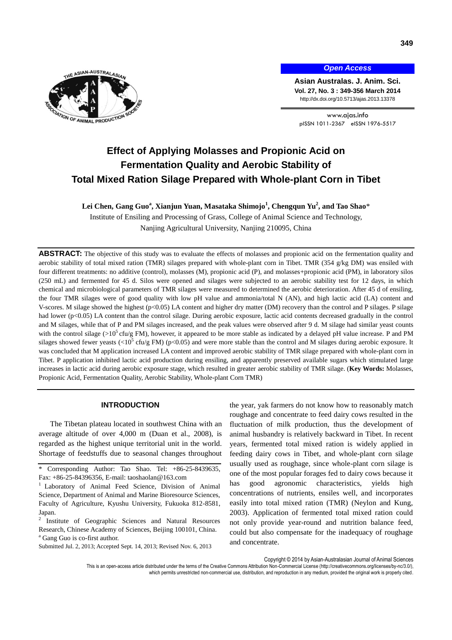

*Open Access*

**Asian Australas. J. Anim. Sci. Vol. 27, No. 3 : 349-356 March 2014** http://dx.doi.org/10.5713/ajas.2013.13378

www.ajas.info pISSN 1011-2367 eISSN 1976-5517

# **Effect of Applying Molasses and Propionic Acid on Fermentation Quality and Aerobic Stability of Total Mixed Ration Silage Prepared with Whole-plant Corn in Tibet**

**Lei Chen, Gang Guo<sup>a</sup> , Xianjun Yuan, Masataka Shimojo<sup>1</sup> , Chengqun Yu<sup>2</sup> , and Tao Shao**\*

Institute of Ensiling and Processing of Grass, College of Animal Science and Technology, Nanjing Agricultural University, Nanjing 210095, China

ABSTRACT: The objective of this study was to evaluate the effects of molasses and propionic acid on the fermentation quality and aerobic stability of total mixed ration (TMR) silages prepared with whole-plant corn in Tibet. TMR (354 g/kg DM) was ensiled with four different treatments: no additive (control), molasses (M), propionic acid (P), and molasses+propionic acid (PM), in laboratory silos (250 mL) and fermented for 45 d. Silos were opened and silages were subjected to an aerobic stability test for 12 days, in which chemical and microbiological parameters of TMR silages were measured to determined the aerobic deterioration. After 45 d of ensiling, the four TMR silages were of good quality with low pH value and ammonia/total N (AN), and high lactic acid (LA) content and V-scores. M silage showed the highest (p<0.05) LA content and higher dry matter (DM) recovery than the control and P silages. P silage had lower (p<0.05) LA content than the control silage. During aerobic exposure, lactic acid contents decreased gradually in the control and M silages, while that of P and PM silages increased, and the peak values were observed after 9 d. M silage had similar yeast counts with the control silage ( $>10^5$  cfu/g FM), however, it appeared to be more stable as indicated by a delayed pH value increase. P and PM silages showed fewer yeasts  $\langle 10^5 \text{ cfu/g FM} \rangle$  (p $\langle 0.05 \rangle$  and were more stable than the control and M silages during aerobic exposure. It was concluded that M application increased LA content and improved aerobic stability of TMR silage prepared with whole-plant corn in Tibet. P application inhibited lactic acid production during ensiling, and apparently preserved available sugars which stimulated large increases in lactic acid during aerobic exposure stage, which resulted in greater aerobic stability of TMR silage. (**Key Words:** Molasses, Propionic Acid, Fermentation Quality, Aerobic Stability, Whole-plant Corn TMR)

## **INTRODUCTION**

The Tibetan plateau located in southwest China with an average altitude of over 4,000 m (Duan et al., 2008), is regarded as the highest unique territorial unit in the world. Shortage of feedstuffs due to seasonal changes throughout

the year, yak farmers do not know how to reasonably match roughage and concentrate to feed dairy cows resulted in the fluctuation of milk production, thus the development of animal husbandry is relatively backward in Tibet. In recent years, fermented total mixed ration is widely applied in feeding dairy cows in Tibet, and whole-plant corn silage usually used as roughage, since whole-plant corn silage is one of the most popular forages fed to dairy cows because it has good agronomic characteristics, yields high concentrations of nutrients, ensiles well, and incorporates easily into total mixed ration (TMR) (Neylon and Kung, 2003). Application of fermented total mixed ration could not only provide year-round and nutrition balance feed, could but also compensate for the inadequacy of roughage and concentrate.

Copyright © 2014 by Asian-Australasian Journal of Animal Sciences

This is an open-access article distributed under the terms of the Creative Commons Attribution Non-Commercial License [\(http://creativecommons.org/licenses/by-nc/3.0/\),](http://creativecommons.org/licenses/by-nc/3.0/) which permits unrestricted non-commercial use, distribution, and reproduction in any medium, provided the original work is properly cited.

Corresponding Author: Tao Shao. Tel: +86-25-8439635, Fax: +86-25-84396356, E-mail: [taoshaolan@163.com](mailto:taoshaolan@yahoo.com.cn)

<sup>1</sup> Laboratory of Animal Feed Science, Division of Animal Science, Department of Animal and Marine Bioresource Sciences, Faculty of Agriculture, Kyushu University, Fukuoka 812-8581, Japan.

<sup>2</sup> Institute of Geographic Sciences and Natural Resources Research, Chinese Academy of Sciences, Beijing 100101, China. <sup>a</sup> Gang Guo is co-first author.

Submitted Jul. 2, 2013; Accepted Sept. 14, 2013; Revised Nov. 6, 2013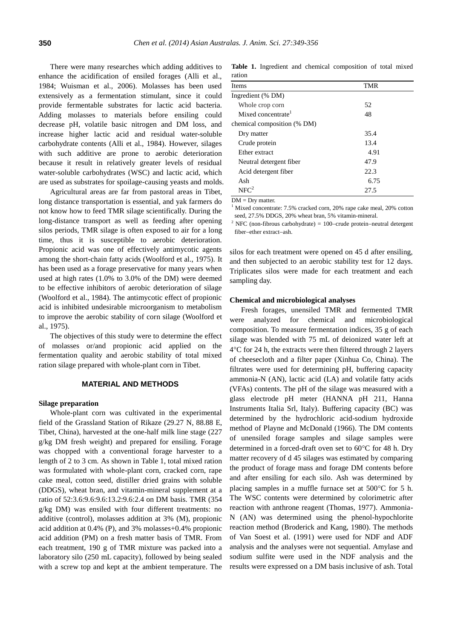There were many researches which adding additives to enhance the acidification of ensiled forages (Alli et al., 1984; Wuisman et al., 2006). Molasses has been used extensively as a fermentation stimulant, since it could provide fermentable substrates for lactic acid bacteria. Adding molasses to materials before ensiling could decrease pH, volatile basic nitrogen and DM loss, and increase higher lactic acid and residual water-soluble carbohydrate contents (Alli et al., 1984). However, silages with such additive are prone to aerobic deterioration because it result in relatively greater levels of residual water-soluble carbohydrates (WSC) and lactic acid, which are used as substrates for spoilage-causing yeasts and molds.

Agricultural areas are far from pastoral areas in Tibet, long distance transportation is essential, and yak farmers do not know how to feed TMR silage scientifically. During the long-distance transport as well as feeding after opening silos periods, TMR silage is often exposed to air for a long time, thus it is susceptible to aerobic deterioration. Propionic acid was one of effectively antimycotic agents among the short-chain fatty acids (Woolford et al., 1975). It has been used as a forage preservative for many years when used at high rates (1.0% to 3.0% of the DM) were deemed to be effective inhibitors of aerobic deterioration of silage (Woolford et al., 1984). The antimycotic effect of propionic acid is inhibited undesirable microorganism to metabolism to improve the aerobic stability of corn silage (Woolford et al., 1975).

The objectives of this study were to determine the effect of molasses or/and propionic acid applied on the fermentation quality and aerobic stability of total mixed ration silage prepared with whole-plant corn in Tibet.

#### **MATERIAL AND METHODS**

#### **Silage preparation**

Whole-plant corn was cultivated in the experimental field of the Grassland Station of Rikaze (29.27 N, 88.88 E, Tibet, China), harvested at the one-half milk line stage (227 g/kg DM fresh weight) and prepared for ensiling. Forage was chopped with a conventional forage harvester to a length of 2 to 3 cm. As shown in Table 1, total mixed ration was formulated with whole-plant corn, cracked corn, rape cake meal, cotton seed, distiller dried grains with soluble (DDGS), wheat bran, and vitamin-mineral supplement at a ratio of 52:3.6:9.6:9.6:13.2:9.6:2.4 on DM basis. TMR (354 g/kg DM) was ensiled with four different treatments: no additive (control), molasses addition at 3% (M), propionic acid addition at 0.4% (P), and 3% molasses+0.4% propionic acid addition (PM) on a fresh matter basis of TMR. From each treatment, 190 g of TMR mixture was packed into a laboratory silo (250 mL capacity), followed by being sealed with a screw top and kept at the ambient temperature. The

**Table 1.** Ingredient and chemical composition of total mixed ration

| Items                          | TMR  |  |
|--------------------------------|------|--|
| Ingredient (% DM)              |      |  |
| Whole crop corn                | 52   |  |
| Mixed concentrate <sup>1</sup> | 48   |  |
| chemical composition (% DM)    |      |  |
| Dry matter                     | 35.4 |  |
| Crude protein                  | 13.4 |  |
| Ether extract                  | 4.91 |  |
| Neutral detergent fiber        | 47.9 |  |
| Acid detergent fiber           | 22.3 |  |
| Ash                            | 6.75 |  |
| NFC <sup>2</sup>               | 27.5 |  |

 $DM = Drv$  matter.

 $1$  Mixed concentrate: 7.5% cracked corn, 20% rape cake meal, 20% cotton seed, 27.5% DDGS, 20% wheat bran, 5% vitamin-mineral.

<sup>2</sup> NFC (non-fibrous carbohydrate) = 100-crude protein-neutral detergent fiber-ether extract-ash.

silos for each treatment were opened on 45 d after ensiling, and then subjected to an aerobic stability test for 12 days. Triplicates silos were made for each treatment and each sampling day.

#### **Chemical and microbiological analyses**

Fresh forages, unensiled TMR and fermented TMR were analyzed for chemical and microbiological composition. To measure fermentation indices, 35 g of each silage was blended with 75 mL of deionized water left at  $4^{\circ}$ C for 24 h, the extracts were then filtered through 2 layers of cheesecloth and a filter paper (Xinhua Co, China). The filtrates were used for determining pH, buffering capacity ammonia-N (AN), lactic acid (LA) and volatile fatty acids (VFAs) contents. The pH of the silage was measured with a glass electrode pH meter (HANNA pH 211, Hanna Instruments Italia Srl, Italy). Buffering capacity (BC) was determined by the hydrochloric acid-sodium hydroxide method of Playne and McDonald (1966). The DM contents of unensiled forage samples and silage samples were determined in a forced-draft oven set to  $60^{\circ}$ C for 48 h. Dry matter recovery of d 45 silages was estimated by comparing the product of forage mass and forage DM contents before and after ensiling for each silo. Ash was determined by placing samples in a muffle furnace set at  $500^{\circ}$ C for 5 h. The WSC contents were determined by colorimetric after reaction with anthrone reagent (Thomas, 1977). Ammonia-N (AN) was determined using the phenol-hypochlorite reaction method (Broderick and Kang, 1980). The methods of Van Soest et al. (1991) were used for NDF and ADF analysis and the analyses were not sequential. Amylase and sodium sulfite were used in the NDF analysis and the results were expressed on a DM basis inclusive of ash. Total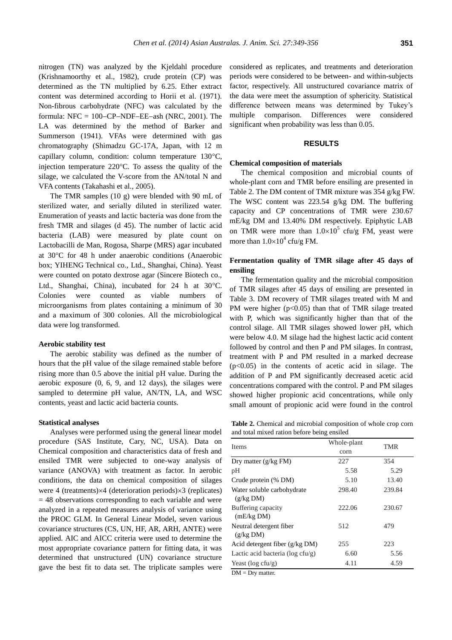nitrogen (TN) was analyzed by the Kjeldahl procedure (Krishnamoorthy et al., 1982), crude protein (CP) was determined as the TN multiplied by 6.25. Ether extract content was determined according to Horii et al. (1971). Non-fibrous carbohydrate (NFC) was calculated by the formula:  $NFC = 100$ -CP-NDF-EE-ash (NRC, 2001). The LA was determined by the method of Barker and Summerson (1941). VFAs were determined with gas chromatography (Shimadzu GC-17A, Japan, with 12 m capillary column, condition: column temperature  $130^{\circ}$ C, injection temperature  $220^{\circ}$ C. To assess the quality of the silage, we calculated the V-score from the AN/total N and VFA contents (Takahashi et al., 2005).

The TMR samples (10 g) were blended with 90 mL of sterilized water, and serially diluted in sterilized water. Enumeration of yeasts and lactic bacteria was done from the fresh TMR and silages (d 45). The number of lactic acid bacteria (LAB) were measured by plate count on Lactobacilli de Man, Rogosa, Sharpe (MRS) agar incubated at 30°C for 48 h under anaerobic conditions (Anaerobic box; YIHENG Technical co., Ltd., Shanghai, China). Yeast were counted on potato dextrose agar (Sincere Biotech co., Ltd., Shanghai, China), incubated for  $24$  h at  $30^{\circ}$ C. Colonies were counted as viable numbers of microorganisms from plates containing a minimum of 30 and a maximum of 300 colonies. All the microbiological data were log transformed.

# **Aerobic stability test**

The aerobic stability was defined as the number of hours that the pH value of the silage remained stable before rising more than 0.5 above the initial pH value. During the aerobic exposure (0, 6, 9, and 12 days), the silages were sampled to determine pH value, AN/TN, LA, and WSC contents, yeast and lactic acid bacteria counts.

#### **Statistical analyses**

Analyses were performed using the general linear model procedure (SAS Institute, Cary, NC, USA). Data on Chemical composition and characteristics data of fresh and ensiled TMR were subjected to one-way analysis of variance (ANOVA) with treatment as factor. In aerobic conditions, the data on chemical composition of silages were 4 (treatments) $\times$ 4 (deterioration periods) $\times$ 3 (replicates) = 48 observations corresponding to each variable and were analyzed in a repeated measures analysis of variance using the PROC GLM. In General Linear Model, seven various covariance structures (CS, UN, HF, AR, ARH, ANTE) were applied. AIC and AICC criteria were used to determine the most appropriate covariance pattern for fitting data, it was determined that unstructured (UN) covariance structure gave the best fit to data set. The triplicate samples were

considered as replicates, and treatments and deterioration periods were considered to be between- and within-subjects factor, respectively. All unstructured covariance matrix of the data were meet the assumption of sphericity. Statistical difference between means was determined by Tukey's multiple comparison. Differences were considered significant when probability was less than 0.05.

## **RESULTS**

### **Chemical composition of materials**

The chemical composition and microbial counts of whole-plant corn and TMR before ensiling are presented in Table 2. The DM content of TMR mixture was 354 g/kg FW. The WSC content was 223.54 g/kg DM. The buffering capacity and CP concentrations of TMR were 230.67 mE/kg DM and 13.40% DM respectively. Epiphytic LAB on TMR were more than  $1.0 \times 10^5$  cfu/g FM, yeast were more than  $1.0 \times 10^4$  cfu/g FM.

# **Fermentation quality of TMR silage after 45 days of ensiling**

The fermentation quality and the microbial composition of TMR silages after 45 days of ensiling are presented in Table 3. DM recovery of TMR silages treated with M and PM were higher  $(p<0.05)$  than that of TMR silage treated with P, which was significantly higher than that of the control silage. All TMR silages showed lower pH, which were below 4.0. M silage had the highest lactic acid content followed by control and then P and PM silages. In contrast, treatment with P and PM resulted in a marked decrease  $(p<0.05)$  in the contents of acetic acid in silage. The addition of P and PM significantly decreased acetic acid concentrations compared with the control. P and PM silages showed higher propionic acid concentrations, while only small amount of propionic acid were found in the control

**Table 2.** Chemical and microbial composition of whole crop corn and total mixed ration before being ensiled

| <b>Items</b>                            | Whole-plant<br>corn | TMR    |  |  |
|-----------------------------------------|---------------------|--------|--|--|
| Dry matter $(g/kg FM)$                  | 227                 | 354    |  |  |
| pH                                      | 5.58                | 5.29   |  |  |
| Crude protein (% DM)                    | 5.10                | 13.40  |  |  |
| Water soluble carbohydrate<br>(g/kg DM) | 298.40              | 239.84 |  |  |
| Buffering capacity<br>(mE/kg DM)        | 222.06              | 230.67 |  |  |
| Neutral detergent fiber<br>(g/kg DM)    | 512                 | 479    |  |  |
| Acid detergent fiber $(g/kg DM)$        | 255                 | 223    |  |  |
| Lactic acid bacteria ( $log c f u/g$ )  | 6.60                | 5.56   |  |  |
| Yeast ( $log c f u/g$ )                 | 4.11                | 4.59   |  |  |

 $DM = Dry$  matter.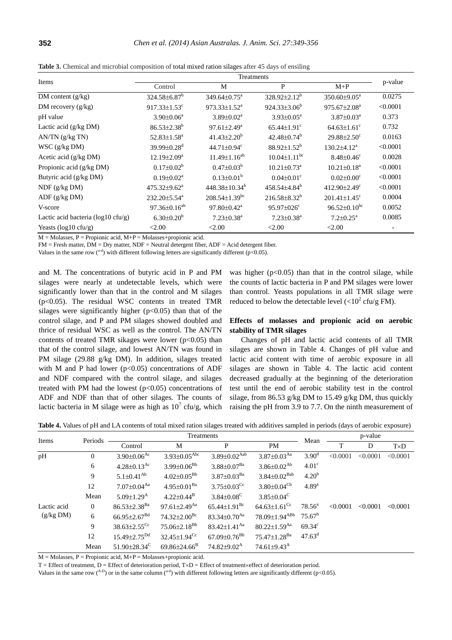| Items                                 | Treatments                     |                                 |                                |                                |          |  |  |
|---------------------------------------|--------------------------------|---------------------------------|--------------------------------|--------------------------------|----------|--|--|
|                                       | Control                        | M                               | P                              | $M+P$                          | p-value  |  |  |
| DM content $(g/kg)$                   | $324.58 \pm 6.87$ <sup>b</sup> | $349.64 \pm 0.75^{\text{a}}$    | $328.92 \pm 2.12^b$            | $350.60 \pm 9.05^{\text{a}}$   | 0.0275   |  |  |
| DM recovery $(g/kg)$                  | 917.33 $\pm$ 1.53 $^{\circ}$   | $973.33 \pm 1.52^a$             | $924.33\pm3.06^b$              | $975.67 \pm 2.08^a$            | < 0.0001 |  |  |
| pH value                              | $3.90 \pm 0.06^a$              | $3.89 \pm 0.02^a$               | $3.93 \pm 0.05^a$              | $3.87 \pm 0.03^{\text{a}}$     | 0.373    |  |  |
| Lactic acid $(g/kg DM)$               | $86.53 \pm 2.38^b$             | $97.61 \pm 2.49^a$              | $65.44 \pm 1.91$ <sup>c</sup>  | $64.63 \pm 1.61$ <sup>c</sup>  | 0.732    |  |  |
| $AN/TN$ (g/kg TN)                     | $52.83 \pm 1.58^a$             | $41.43 \pm 2.20^b$              | $42.48 \pm 0.74^b$             | $29.88 \pm 2.50$ <sup>c</sup>  | 0.0163   |  |  |
| $WSC$ (g/kg DM)                       | 39.99 $\pm$ 0.28 <sup>d</sup>  | 44.71 $\pm$ 0.94 $\rm{c}$       | $88.92 \pm 1.52^b$             | $130.2 \pm 4.12^a$             | < 0.0001 |  |  |
| Acetic acid $(g/kg DM)$               | $12.19 \pm 2.09^a$             | $11.49 \pm 1.16^{ab}$           | $10.04 \pm 1.11$ <sup>bc</sup> | $8.48 \pm 0.46$ <sup>c</sup>   | 0.0028   |  |  |
| Propionic acid (g/kg DM)              | $0.17 \pm 0.02^b$              | $0.47 \pm 0.03^b$               | $10.21 \pm 0.73$ <sup>a</sup>  | $10.21 \pm 0.18^a$             | < 0.0001 |  |  |
| Butyric acid (g/kg DM)                | $0.19 \pm 0.02^a$              | $0.13 \pm 0.01^b$               | $0.04 \pm 0.01$ <sup>c</sup>   | $0.02 \pm 0.00$ <sup>c</sup>   | < 0.0001 |  |  |
| $NDF$ (g/kg DM)                       | $475.32 \pm 9.62^{\mathrm{a}}$ | $448.38 \pm 10.34^b$            | 458.54±4.84 <sup>b</sup>       | 412.90 $\pm$ 2.49 $\text{°}$   | < 0.0001 |  |  |
| ADF (g/kg DM)                         | $232.20 \pm 5.54^a$            | $208.54 \pm 1.39$ <sup>bc</sup> | $216.58 \pm 8.32^b$            | $201.41 \pm 1.45$ <sup>c</sup> | 0.0004   |  |  |
| V-score                               | $97.36 \pm 0.16^{ab}$          | $97.80 \pm 0.42^{\text{a}}$     | $95.97 \pm 0.26$ <sup>c</sup>  | $96.52 \pm 0.10^{bc}$          | 0.0052   |  |  |
| Lactic acid bacteria ( $log10$ cfu/g) | $6.30 \pm 0.20^b$              | $7.23 \pm 0.38$ <sup>a</sup>    | $7.23 \pm 0.38$ <sup>a</sup>   | $7.2 \pm 0.25^a$               | 0.0085   |  |  |
| Yeasts ( $log10$ cfu/g)               | < 2.00                         | < 2.00                          | < 2.00                         | < 2.00                         |          |  |  |

**Table 3.** Chemical and microbial composition of total mixed ration silages after 45 days of ensiling

 $M = Molasses, P = Propionic acid, M+P = Molasses+propionic acid.$ 

 $FM =$  Fresh matter,  $DM =$  Dry matter,  $NDF =$  Neutral detergent fiber,  $ADF =$  Acid detergent fiber.

Values in the same row ( $a-d$ ) with different following letters are significantly different ( $p<0.05$ ).

and M. The concentrations of butyric acid in P and PM silages were nearly at undetectable levels, which were significantly lower than that in the control and M silages (p<0.05). The residual WSC contents in treated TMR silages were significantly higher  $(p<0.05)$  than that of the control silage, and P and PM silages showed doubled and thrice of residual WSC as well as the control. The AN/TN contents of treated TMR sikages were lower ( $p$ <0.05) than that of the control silage, and lowest AN/TN was found in PM silage (29.88 g/kg DM). In addition, silages treated with M and P had lower ( $p<0.05$ ) concentrations of ADF and NDF compared with the control silage, and silages treated with PM had the lowest  $(p<0.05)$  concentrations of ADF and NDF than that of other silages. The counts of lactic bacteria in M silage were as high as  $10^7$  cfu/g, which was higher  $(p<0.05)$  than that in the control silage, while the counts of lactic bacteria in P and PM silages were lower than control. Yeasts populations in all TMR silage were reduced to below the detectable level  $\left\langle \text{<}10^2 \text{ cfu/g FM}\right\rangle$ .

# **Effects of molasses and propionic acid on aerobic stability of TMR silages**

Changes of pH and lactic acid contents of all TMR silages are shown in Table 4. Changes of pH value and lactic acid content with time of aerobic exposure in all silages are shown in Table 4. The lactic acid content decreased gradually at the beginning of the deterioration test until the end of aerobic stability test in the control silage, from 86.53 g/kg DM to 15.49 g/kg DM, thus quickly raising the pH from 3.9 to 7.7. On the ninth measurement of

|  |  | Table 4. Values of pH and LA contents of total mixed ration silages treated with additives sampled in periods (days of aerobic exposure) |
|--|--|------------------------------------------------------------------------------------------------------------------------------------------|
|--|--|------------------------------------------------------------------------------------------------------------------------------------------|

| Items       | Treatments     |                                |                                | p-value                        |                                |                    |          |          |             |
|-------------|----------------|--------------------------------|--------------------------------|--------------------------------|--------------------------------|--------------------|----------|----------|-------------|
|             | Periods        | Control                        | M                              | P                              | <b>PM</b>                      | Mean               | T        | D        | $T\times D$ |
| pH          | $\overline{0}$ | $3.90 \pm 0.06$ <sup>Ac</sup>  | $3.93 \pm 0.05^{\rm{Abc}}$     | $3.89 \pm 0.02$ <sup>Aab</sup> | $3.87 \pm 0.03$ <sup>Aa</sup>  | 3.90 <sup>d</sup>  | < 0.0001 | < 0.0001 | < 0.0001    |
|             | 6              | $4.28 \pm 0.13$ <sup>Ac</sup>  | $3.99 \pm 0.06^{Bb}$           | $3.88 \pm 0.07$ <sup>Ba</sup>  | $3.86 \pm 0.02^{Ab}$           | 4.01 <sup>c</sup>  |          |          |             |
|             | 9              | $5.1 \pm 0.41^{Ab}$            | $4.02 \pm 0.05^{Bb}$           | $3.87 \pm 0.03$ <sup>Ba</sup>  | $3.84 \pm 0.02^{\text{Bab}}$   | 4.20 <sup>b</sup>  |          |          |             |
|             | 12             | $7.07 \pm 0.04$ <sup>Aa</sup>  | $4.95 \pm 0.01^{\text{Ba}}$    | $3.75 \pm 0.03$ <sup>Cc</sup>  | $3.80 \pm 0.04$ <sup>Cb</sup>  | $4.89^{a}$         |          |          |             |
|             | Mean           | $5.09 \pm 1.29$ <sup>A</sup>   | $4.22 \pm 0.44^{\rm B}$        | $3.84 \pm 0.08$ <sup>C</sup>   | $3.85 \pm 0.04^{\circ}$        |                    |          |          |             |
| Lactic acid | $\overline{0}$ | $86.53 \pm 2.38$ <sup>Ba</sup> | $97.61 \pm 2.49$ <sup>Aa</sup> | $65.44 \pm 1.91$ <sup>Bc</sup> | $64.63 \pm 1.61$ <sup>Cc</sup> | $78.56^{\circ}$    | < 0.0001 | < 0.0001 | < 0.0001    |
| (g/kg DM)   | 6              | $66.95 \pm 2.67$ <sup>Bd</sup> | $74.32 \pm 2.00$ <sup>Bc</sup> | $83.34 \pm 0.70$ <sup>Aa</sup> | 78.09±1.94 <sup>ABb</sup>      | 75.67 <sup>b</sup> |          |          |             |
|             | 9              | $38.63 \pm 2.55$ <sup>Cc</sup> | $75.06 \pm 2.18^{Bb}$          | 83.42 $\pm$ 1.41 <sup>Aa</sup> | $80.22 \pm 1.59$ <sup>Aa</sup> | $69.34^{\circ}$    |          |          |             |
|             | 12             | $15.49 \pm 2.75$ <sup>Dd</sup> | $32.45 \pm 1.94$ <sup>Cc</sup> | $67.09 \pm 0.76$ <sup>Bb</sup> | 75.47±1.28 <sup>Ba</sup>       | $47.63^{\rm d}$    |          |          |             |
|             | Mean           | 51.90 $\pm$ 28.34 <sup>C</sup> | $69.86 \pm 24.66$ <sup>B</sup> | $74.82{\pm}9.02^{\text{A}}$    | 74.61 $\pm$ 9.43 <sup>A</sup>  |                    |          |          |             |

 $M = Molasses, P = Propionic acid, M+P = Molasses+propionic acid.$ 

 $T =$  Effect of treatment,  $D =$  Effect of deterioration period,  $T \times D =$  Effect of treatment $\times$  effect of deterioration period.

Values in the same row (<sup>A-D</sup>) or in the same column (<sup>a-d</sup>) with different following letters are significantly different (p<0.05).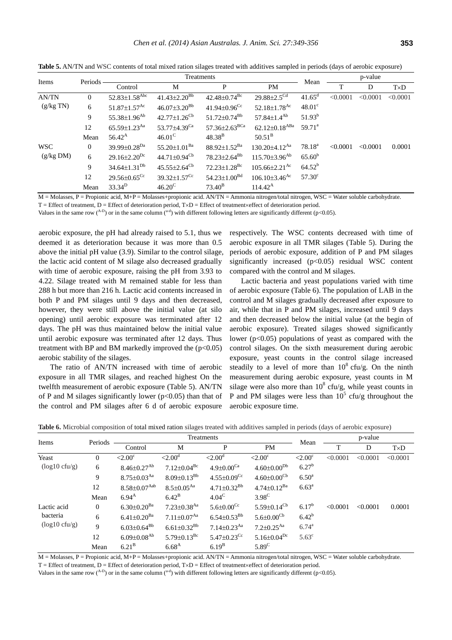| Items      | Periods      | Treatments                      |                                 |                                 | Mean                            | p-value         |          |          |             |
|------------|--------------|---------------------------------|---------------------------------|---------------------------------|---------------------------------|-----------------|----------|----------|-------------|
|            |              | Control                         | М                               | P                               | <b>PM</b>                       |                 | T        | D        | $T\times D$ |
| AN/TN      | $\mathbf{0}$ | $52.83 \pm 1.58$ <sup>Abc</sup> | $41.43 \pm 2.20^{Bb}$           | $42.48\pm0.74^{\mathrm{Bc}}$    | $29.88 \pm 2.5^{\text{Cd}}$     | $41.65^{\rm d}$ | < 0.0001 | < 0.0001 | < 0.0001    |
| (g/kg TN)  | 6            | $51.87 \pm 1.57$ <sup>Ac</sup>  | $46.07 \pm 3.20^{Bb}$           | $41.94 \pm 0.96$ <sup>Cc</sup>  | 52.18 $\pm$ 1.78 <sup>Ac</sup>  | $48.01^{\circ}$ |          |          |             |
|            | 9            | $55.38 \pm 1.96$ <sup>Ab</sup>  | $42.77 \pm 1.26$ <sup>Cb</sup>  | $51.72 \pm 0.74$ <sup>Bb</sup>  | $57.84 \pm 1.4^{Ab}$            | $51.93^b$       |          |          |             |
|            | 12           | $65.59 \pm 1.23$ <sup>Aa</sup>  | 53.77 $\pm$ 4.39 <sup>Ca</sup>  | $57.36 \pm 2.63$ <sup>BCa</sup> | $62.12 \pm 0.18$ <sup>ABa</sup> | $59.71^a$       |          |          |             |
|            | Mean         | $56.42^{\rm A}$                 | $46.01^\circ$                   | $48.38^{B}$                     | $50.51^{\rm B}$                 |                 |          |          |             |
| <b>WSC</b> | $\mathbf{0}$ | 39.99 $\pm$ 0.28 <sup>Da</sup>  | 55.20 $\pm$ 1.01 $^{\text{Ba}}$ | $88.92 \pm 1.52^{Ba}$           | $130.20 \pm 4.12$ <sup>Aa</sup> | $78.18^{\rm a}$ | < 0.0001 | < 0.0001 | 0.0001      |
| (g/kg DM)  | 6            | $29.16 \pm 2.20^{Dc}$           | 44.71 $\pm$ 0.94 <sup>Cb</sup>  | $78.23 \pm 2.64$ <sup>Bb</sup>  | $115.70\pm3.96^{Ab}$            | $65.60^{b}$     |          |          |             |
|            | 9            | $34.64 \pm 1.31^{Db}$           | $45.55 \pm 2.64$ <sup>Cb</sup>  | $72.23 \pm 1.28$ <sup>Bc</sup>  | $105.66 \pm 2.21$ <sup>Ac</sup> | $64.52^b$       |          |          |             |
|            | 12           | $29.56 \pm 0.65$ <sup>Cc</sup>  | $39.32 \pm 1.57$ <sup>Cc</sup>  | $54.23 \pm 1.00^{Bd}$           | $106.10\pm3.46$ <sup>Ac</sup>   | $57.30^{\circ}$ |          |          |             |
|            | Mean         | $33.34^D$                       | $46.20^{\circ}$                 | $73.40^{\rm B}$                 | $114.42^{\rm A}$                |                 |          |          |             |

**Table 5.** AN/TN and WSC contents of total mixed ration silages treated with additives sampled in periods (days of aerobic exposure)

 $M =$ Molasses, P = Propionic acid, M+P = Molasses+propionic acid. AN/TN = Ammonia nitrogen/total nitrogen, WSC = Water soluble carbohydrate.

 $T =$  Effect of treatment,  $D =$  Effect of deterioration period,  $T \times D =$  Effect of treatment $\times$  effect of deterioration period.

Values in the same row  $($ <sup>A-D</sup> $)$  or in the same column  $($ <sup>a-d</sup> $)$  with different following letters are significantly different ( $p$ <0.05).

aerobic exposure, the pH had already raised to 5.1, thus we deemed it as deterioration because it was more than 0.5 above the initial pH value (3.9). Similar to the control silage, the lactic acid content of M silage also decreased gradually with time of aerobic exposure, raising the pH from 3.93 to 4.22. Silage treated with M remained stable for less than 288 h but more than 216 h. Lactic acid contents increased in both P and PM silages until 9 days and then decreased, however, they were still above the initial value (at silo opening) until aerobic exposure was terminated after 12 days. The pH was thus maintained below the initial value until aerobic exposure was terminated after 12 days. Thus treatment with BP and BM markedly improved the  $(p<0.05)$ aerobic stability of the silages.

The ratio of AN/TN increased with time of aerobic exposure in all TMR silages, and reached highest On the twelfth measurement of aerobic exposure (Table 5). AN/TN of P and M silages significantly lower ( $p<0.05$ ) than that of the control and PM silages after 6 d of aerobic exposure

respectively. The WSC contents decreased with time of aerobic exposure in all TMR silages (Table 5). During the periods of aerobic exposure, addition of P and PM silages significantly increased  $(p<0.05)$  residual WSC content compared with the control and M silages.

Lactic bacteria and yeast populations varied with time of aerobic exposure (Table 6). The population of LAB in the control and M silages gradually decreased after exposure to air, while that in P and PM silages, increased until 9 days and then decreased below the initial value (at the begin of aerobic exposure). Treated silages showed significantly lower ( $p<0.05$ ) populations of yeast as compared with the control silages. On the sixth measurement during aerobic exposure, yeast counts in the control silage increased steadily to a level of more than  $10^8$  cfu/g. On the ninth measurement during aerobic exposure, yeast counts in M silage were also more than  $10^8$  cfu/g, while yeast counts in P and PM silages were less than  $10^5$  cfu/g throughout the aerobic exposure time.

| Items                   | Periods        | Treatments                     |                               |                               |                               | p-value              |          |          |             |
|-------------------------|----------------|--------------------------------|-------------------------------|-------------------------------|-------------------------------|----------------------|----------|----------|-------------|
|                         |                | Control                        | M                             | P                             | PM                            | Mean                 | T        | D        | $T\times D$ |
| Yeast                   | $\overline{0}$ | $\leq 2.00^{\circ}$            | ${<}2.00^{\circ}$             | ${<}2.00^{\circ}$             | $<$ 2.00 $^{\circ}$           | $\langle 2.00^\circ$ | < 0.0001 | < 0.0001 | < 0.0001    |
| $(log10 \text{ cfu/g})$ | 6              | $8.46 \pm 0.27^{Ab}$           | $7.12{\pm}0.04^{\rm Bc}$      | $4.9 \pm 0.00$ <sup>Ca</sup>  | $4.60{\pm}0.00^{\mathrm{Db}}$ | $6.27^{b}$           |          |          |             |
|                         | 9              | $8.75 \pm 0.03$ <sup>Aa</sup>  | $8.09 \pm 0.13^{Bb}$          | $4.55 \pm 0.09$ <sup>Cc</sup> | $4.60 \pm 0.00$ <sup>Cb</sup> | $6.50^{\rm a}$       |          |          |             |
|                         | 12             | $8.58{\pm}0.07^{\mathrm{Aab}}$ | $8.5 \pm 0.05^{Aa}$           | $4.71 \pm 0.32^{Bb}$          | $4.74 \pm 0.12^{Ba}$          | $6.63^{\rm a}$       |          |          |             |
|                         | Mean           | $6.94^{A}$                     | $6.42^{\rm B}$                | $4.04^{\circ}$                | $3.98^{\circ}$                |                      |          |          |             |
| Lactic acid             | $\overline{0}$ | $6.30 \pm 0.20$ <sup>Ba</sup>  | $7.23 \pm 0.38$ <sup>Aa</sup> | $5.6 \pm 0.00$ <sup>Cc</sup>  | $5.59 \pm 0.14$ <sup>Cb</sup> | $6.17^{b}$           | < 0.0001 | < 0.0001 | 0.0001      |
| bacteria                | 6              | $6.41{\pm}0.20^\text{Ba}$      | $7.11 \pm 0.07^{Aa}$          | $6.54 \pm 0.53^{Bb}$          | $5.6 \pm 0.00^{\mathrm{Cb}}$  | $6.42^{b}$           |          |          |             |
| $(log10 \text{ cfu/g})$ | 9              | $6.03{\pm}0.64^{\mathrm{Bb}}$  | $6.61 \pm 0.32^{Bb}$          | $7.14 \pm 0.23$ <sup>Aa</sup> | $7.2 \pm 0.25$ <sup>Aa</sup>  | $6.74^{\rm a}$       |          |          |             |
|                         | 12             | $6.09{\pm}0.08^{\mathrm{Ab}}$  | $5.79 \pm 0.13$ <sup>Bc</sup> | $5.47 \pm 0.23$ <sup>Cc</sup> | $5.16 \pm 0.04^{Dc}$          | $5.63^{\circ}$       |          |          |             |
|                         | Mean           | 6.21 <sup>B</sup>              | $6.68^{A}$                    | 6.19 <sup>B</sup>             | 5.89 <sup>C</sup>             |                      |          |          |             |

**Table 6.** Microbial composition of total mixed ration silages treated with additives sampled in periods (days of aerobic exposure)

M = Molasses, P = Propionic acid, M+P = Molasses+propionic acid. AN/TN = Ammonia nitrogen/total nitrogen, WSC = Water soluble carbohydrate.

 $T =$  Effect of treatment,  $D =$  Effect of deterioration period,  $T \times D =$  Effect of treatment $\times$  effect of deterioration period.

Values in the same row (<sup>A-D</sup>) or in the same column (<sup>a-d</sup>) with different following letters are significantly different (p<0.05).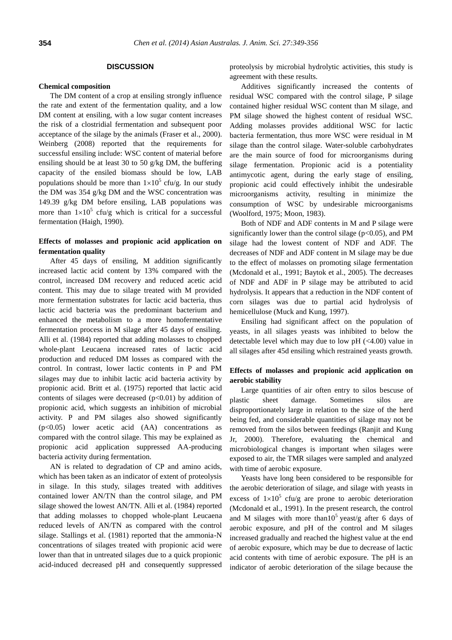## **DISCUSSION**

#### **Chemical composition**

The DM content of a crop at ensiling strongly influence the rate and extent of the fermentation quality, and a low DM content at ensiling, with a low sugar content increases the risk of a clostridial fermentation and subsequent poor acceptance of the silage by the animals (Fraser et al., 2000). Weinberg (2008) reported that the requirements for successful ensiling include: WSC content of material before ensiling should be at least 30 to 50 g/kg DM, the buffering capacity of the ensiled biomass should be low, LAB populations should be more than  $1 \times 10^5$  cfu/g. In our study the DM was 354 g/kg DM and the WSC concentration was 149.39 g/kg DM before ensiling, LAB populations was more than  $1 \times 10^5$  cfu/g which is critical for a successful fermentation (Haigh, 1990).

# **Effects of molasses and propionic acid application on fermentation quality**

After 45 days of ensiling, M addition significantly increased lactic acid content by 13% compared with the control, increased DM recovery and reduced acetic acid content. This may due to silage treated with M provided more fermentation substrates for lactic acid bacteria, thus lactic acid bacteria was the predominant bacterium and enhanced the metabolism to a more homofermentative fermentation process in M silage after 45 days of ensiling. Alli et al. (1984) reported that adding molasses to chopped whole-plant Leucaena increased rates of lactic acid production and reduced DM losses as compared with the control. In contrast, lower lactic contents in P and PM silages may due to inhibit lactic acid bacteria activity by propionic acid. Britt et al. (1975) reported that lactic acid contents of silages were decreased  $(p<0.01)$  by addition of propionic acid, which suggests an inhibition of microbial activity. P and PM silages also showed significantly (p<0.05) lower acetic acid (AA) concentrations as compared with the control silage. This may be explained as propionic acid application suppressed AA-producing bacteria activity during fermentation.

AN is related to degradation of CP and amino acids, which has been taken as an indicator of extent of proteolysis in silage. In this study, silages treated with additives contained lower AN/TN than the control silage, and PM silage showed the lowest AN/TN. Alli et al. (1984) reported that adding molasses to chopped whole-plant Leucaena reduced levels of AN/TN as compared with the control silage. Stallings et al. (1981) reported that the ammonia-N concentrations of silages treated with propionic acid were lower than that in untreated silages due to a quick propionic acid-induced decreased pH and consequently suppressed

proteolysis by microbial hydrolytic activities, this study is agreement with these results.

Additives significantly increased the contents of residual WSC compared with the control silage, P silage contained higher residual WSC content than M silage, and PM silage showed the highest content of residual WSC. Adding molasses provides additional WSC for lactic bacteria fermentation, thus more WSC were residual in M silage than the control silage. Water-soluble carbohydrates are the main source of food for microorganisms during silage fermentation. Propionic acid is a potentiality antimycotic agent, during the early stage of ensiling, propionic acid could effectively inhibit the undesirable microorganisms activity, resulting in minimize the consumption of WSC by undesirable microorganisms (Woolford, 1975; Moon, 1983).

Both of NDF and ADF contents in M and P silage were significantly lower than the control silage ( $p<0.05$ ), and PM silage had the lowest content of NDF and ADF. The decreases of NDF and ADF content in M silage may be due to the effect of molasses on promoting silage fermentation (Mcdonald et al., 1991; Baytok et al., 2005). The decreases of NDF and ADF in P silage may be attributed to acid hydrolysis. It appears that a reduction in the NDF content of corn silages was due to partial acid hydrolysis of hemicellulose (Muck and Kung, 1997).

Ensiling had significant affect on the population of yeasts, in all silages yeasts was inhibited to below the detectable level which may due to low  $pH$  ( $\lt$ 4.00) value in all silages after 45d ensiling which restrained yeasts growth.

# **Effects of molasses and propionic acid application on aerobic stability**

Large quantities of air often entry to silos bescuse of plastic sheet damage. Sometimes silos are disproportionately large in relation to the size of the herd being fed, and considerable quantities of silage may not be removed from the silos between feedings (Ranjit and Kung Jr, 2000). Therefore, evaluating the chemical and microbiological changes is important when silages were exposed to air, the TMR silages were sampled and analyzed with time of aerobic exposure.

Yeasts have long been considered to be responsible for the aerobic deterioration of silage, and silage with yeasts in excess of  $1 \times 10^5$  cfu/g are prone to aerobic deterioration (Mcdonald et al., 1991). In the present research, the control and M silages with more than  $10^5$  yeast/g after 6 days of aerobic exposure, and pH of the control and M silages increased gradually and reached the highest value at the end of aerobic exposure, which may be due to decrease of lactic acid contents with time of aerobic exposure. The pH is an indicator of aerobic deterioration of the silage because the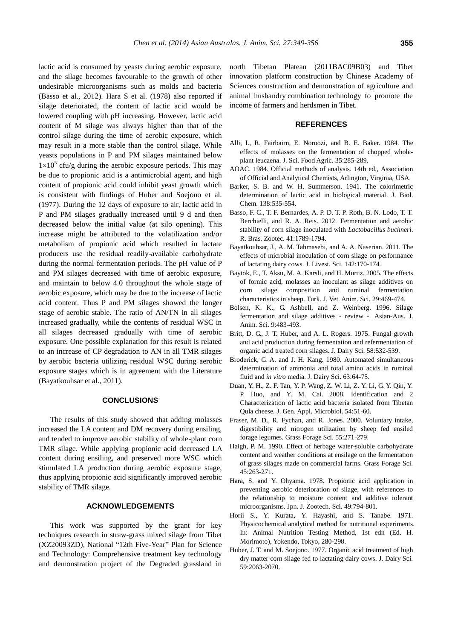lactic acid is consumed by yeasts during aerobic exposure, and the silage becomes favourable to the growth of other undesirable microorganisms such as molds and bacteria (Basso et al., 2012). Hara S et al. (1978) also reported if silage deteriorated, the content of lactic acid would be lowered coupling with pH increasing. However, lactic acid content of M silage was always higher than that of the control silage during the time of aerobic exposure, which may result in a more stable than the control silage. While yeasts populations in P and PM silages maintained below  $1 \times 10^5$  cfu/g during the aerobic exposure periods. This may be due to propionic acid is a antimicrobial agent, and high content of propionic acid could inhibit yeast growth which is consistent with findings of Huber and Soejono et al. (1977). During the 12 days of exposure to air, lactic acid in P and PM silages gradually increased until 9 d and then decreased below the initial value (at silo opening). This increase might be attributed to the volatilization and/or metabolism of propionic acid which resulted in lactate producers use the residual readily-available carbohydrate during the normal fermentation periods. The pH value of P and PM silages decreased with time of aerobic exposure, and maintain to below 4.0 throughout the whole stage of aerobic exposure, which may be due to the increase of lactic acid content. Thus P and PM silages showed the longer stage of aerobic stable. The ratio of AN/TN in all silages increased gradually, while the contents of residual WSC in all silages decreased gradually with time of aerobic exposure. One possible explanation for this result is related to an increase of CP degradation to AN in all TMR silages by aerobic bacteria utilizing residual WSC during aerobic exposure stages which is in agreement with the Literature (Bayatkouhsar et al., 2011).

### **CONCLUSIONS**

The results of this study showed that adding molasses increased the LA content and DM recovery during ensiling, and tended to improve aerobic stability of whole-plant corn TMR silage. While applying propionic acid decreased LA content during ensiling, and preserved more WSC which stimulated LA production during aerobic exposure stage, thus applying propionic acid significantly improved aerobic stability of TMR silage.

# **ACKNOWLEDGEMENTS**

This work was supported by the grant for key techniques research in straw-grass mixed silage from Tibet (XZ20093ZD), National "12th Five-Year" Plan for Science and Technology: Comprehensive treatment key technology and demonstration project of the Degraded grassland in

north Tibetan Plateau (2011BAC09B03) and Tibet innovation platform construction by Chinese Academy of Sciences construction and demonstration of agriculture and animal husbandry combination technology to promote the income of farmers and herdsmen in Tibet.

## **REFERENCES**

- Alli, I., R. Fairbairn, E. Noroozi, and B. E. Baker. 1984. [The](http://onlinelibrary.wiley.com/doi/10.1002/jsfa.2740350307/abstract)  [effects of molasses on the fermentation of chopped whole](http://onlinelibrary.wiley.com/doi/10.1002/jsfa.2740350307/abstract)[plant leucaena.](http://onlinelibrary.wiley.com/doi/10.1002/jsfa.2740350307/abstract) J. Sci. Food Agric. 35:285-289.
- AOAC. 1984. Official methods of analysis. 14th ed., Association of Official and Analytical Chemists, Arlington, Virginia, USA.
- Barker, S. B. and W. H. Summerson. 1941. [The colorimetric](http://www.jbc.org/content/138/2/535.short)  [determination of lactic acid in biological material.](http://www.jbc.org/content/138/2/535.short) J. Biol. Chem. 138:535-554.
- Basso, F. C., T. F. Bernardes, A. P. D. T. P. Roth, B. N. Lodo, T. T. Berchielli, and R. A. Reis. 2012. [Fermentation and aerobic](http://www.scielo.br/pdf/rbz/v41n7/32.pdf)  [stability of corn silage inoculated with](http://www.scielo.br/pdf/rbz/v41n7/32.pdf) *Lactobacillus buchneri*. R. Bras. Zootec. 41:1789-1794.
- Bayatkouhsar, J., A. M. Tahmasebi, and A. A. Naserian. 2011. [The](http://www.sciencedirect.com/science/article/pii/S1871141311002721)  [effects of microbial inoculation of corn silage on performance](http://www.sciencedirect.com/science/article/pii/S1871141311002721)  [of lactating dairy cows.](http://www.sciencedirect.com/science/article/pii/S1871141311002721) J. Livest. Sci. 142:170-174.
- Baytok, E., T. Aksu, M. A. Karsli, and H. Muruz. 2005[. The effects](http://journals.tubitak.gov.tr/veterinary/issues/vet-05-29-2/vet-29-2-41-0312-5.pdf)  [of formic acid, molasses an inoculant as silage additives on](http://journals.tubitak.gov.tr/veterinary/issues/vet-05-29-2/vet-29-2-41-0312-5.pdf)  [corn silage composition and ruminal fermentation](http://journals.tubitak.gov.tr/veterinary/issues/vet-05-29-2/vet-29-2-41-0312-5.pdf)  [characteristics in sheep.](http://journals.tubitak.gov.tr/veterinary/issues/vet-05-29-2/vet-29-2-41-0312-5.pdf) Turk. J. Vet. Anim. Sci. 29:469-474.
- Bolsen, K. K., G. Ashbell, and Z. Weinberg. 1996. Silage fermentation and silage additives - review -. Asian-Aus. J. Anim. Sci. 9:483-493.
- Britt, D. G., J. T. Huber, and A. L. Rogers. 1975. [Fungal growth](http://www.sciencedirect.com/science/article/pii/S0022030275846030)  [and acid production during fermentation and refermentation of](http://www.sciencedirect.com/science/article/pii/S0022030275846030)  [organic acid treated corn silages.](http://www.sciencedirect.com/science/article/pii/S0022030275846030) J. Dairy Sci. 58:532-539.
- Broderick, G. A. and J. H. Kang. 1980. [Automated simultaneous](http://www.sciencedirect.com/science/article/pii/S0022030280828888)  [determination of ammonia and total amino acids in ruminal](http://www.sciencedirect.com/science/article/pii/S0022030280828888)  [fluid and](http://www.sciencedirect.com/science/article/pii/S0022030280828888) *in vitro* media. J. Dairy Sci. 63:64-75.
- Duan, Y. H., Z. F. Tan, Y. P. Wang, Z. W. Li, Z. Y. Li, G. Y. Qin, Y. P. Huo, and Y. M. Cai. 2008. [Identification and 2](https://www.jstage.jst.go.jp/article/jgam/54/1/54_1_51/_article)  [Characterization of lactic acid bacteria isolated](https://www.jstage.jst.go.jp/article/jgam/54/1/54_1_51/_article) from Tibetan [Qula cheese.](https://www.jstage.jst.go.jp/article/jgam/54/1/54_1_51/_article) J. Gen. Appl. Microbiol. 54:51-60.
- Fraser, M. D., R. Fychan, and R. Jones. 2000. [Voluntary intake,](http://onlinelibrary.wiley.com/doi/10.1046/j.1365-2494.2000.00225.x/abstract?deniedAccessCustomisedMessage=&userIsAuthenticated=false)  [digestibility and nitrogen utilization by sheep fed ensiled](http://onlinelibrary.wiley.com/doi/10.1046/j.1365-2494.2000.00225.x/abstract?deniedAccessCustomisedMessage=&userIsAuthenticated=false)  [forage legumes.](http://onlinelibrary.wiley.com/doi/10.1046/j.1365-2494.2000.00225.x/abstract?deniedAccessCustomisedMessage=&userIsAuthenticated=false) Grass Forage Sci. 55:271-279.
- Haigh, P. M. 1990. [Effect of herbage water-soluble carbohydrate](http://onlinelibrary.wiley.com/doi/10.1111/j.1365-2494.1990.tb01949.x/abstract?deniedAccessCustomisedMessage=&userIsAuthenticated=false)  [content and weather conditions at ensilage on the fermentation](http://onlinelibrary.wiley.com/doi/10.1111/j.1365-2494.1990.tb01949.x/abstract?deniedAccessCustomisedMessage=&userIsAuthenticated=false)  [of grass silages made on commercial farms.](http://onlinelibrary.wiley.com/doi/10.1111/j.1365-2494.1990.tb01949.x/abstract?deniedAccessCustomisedMessage=&userIsAuthenticated=false) Grass Forage Sci.  $45:263-271$
- Hara, S. and Y. Ohyama. 1978. [Propionic acid application in](https://www.jstage.jst.go.jp/article/chikusan1924/49/11/49_11_794/_article/-char/ja/)  [preventing aerobic deterioration of silage, with references to](https://www.jstage.jst.go.jp/article/chikusan1924/49/11/49_11_794/_article/-char/ja/)  [the relationship to moisture content and additive tolerant](https://www.jstage.jst.go.jp/article/chikusan1924/49/11/49_11_794/_article/-char/ja/)  [microorganisms.](https://www.jstage.jst.go.jp/article/chikusan1924/49/11/49_11_794/_article/-char/ja/) Jpn. J. Zootech. Sci. 49:794-801.
- Horii S., Y. Kurata, Y. Hayashi, and S. Tanabe. 1971. Physicochemical analytical method for nutritional experiments. In: Animal Nutrition Testing Method, 1st edn (Ed. H. Morimoto), Yokendo, Tokyo, 280-298.
- Huber, J. T. and M. Soejono. 1977. [Organic acid treatment of high](http://www.sciencedirect.com/science/article/pii/S0022030276844888)  [dry matter corn silage fed to lactating dairy cows.](http://www.sciencedirect.com/science/article/pii/S0022030276844888) J. Dairy Sci. 59:2063-2070.